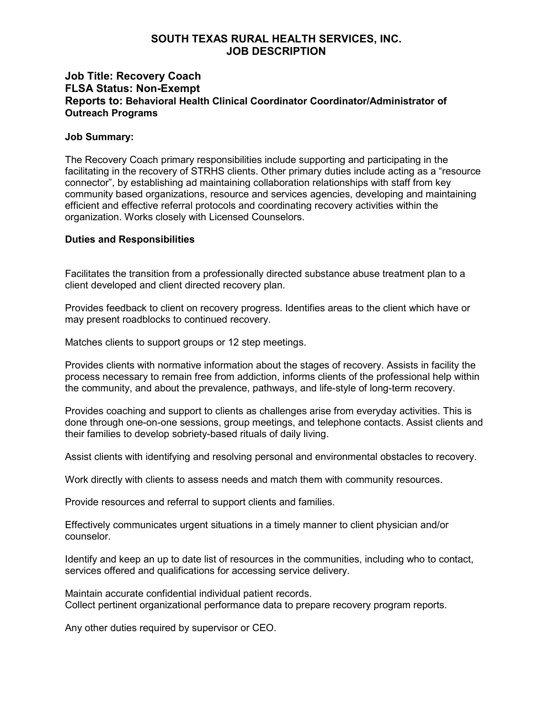# **SOUTH TEXAS RURAL HEALTH SERVICES, INC. JOB DESCRIPTION**

# **Job Title: Recovery Coach FLSA Status: Non-Exempt Reports to: Behavioral Health Clinical Coordinator Coordinator/Administrator of Outreach Programs**

### **Job Summary:**

The Recovery Coach primary responsibilities include supporting and participating in the facilitating in the recovery of STRHS clients. Other primary duties include acting as a "resource connector", by establishing ad maintaining collaboration relationships with staff from key community based organizations, resource and services agencies, developing and maintaining efficient and effective referral protocols and coordinating recovery activities within the organization. Works closely with Licensed Counselors.

### **Duties and Responsibilities**

Facilitates the transition from a professionally directed substance abuse treatment plan to a client developed and client directed recovery plan.

Provides feedback to client on recovery progress. Identifies areas to the client which have or may present roadblocks to continued recovery.

Matches clients to support groups or 12 step meetings.

Provides clients with normative information about the stages of recovery. Assists in facility the process necessary to remain free from addiction, informs clients of the professional help within the community, and about the prevalence, pathways, and life-style of long-term recovery.

Provides coaching and support to clients as challenges arise from everyday activities. This is done through one-on-one sessions, group meetings, and telephone contacts. Assist clients and their families to develop sobriety-based rituals of daily living.

Assist clients with identifying and resolving personal and environmental obstacles to recovery.

Work directly with clients to assess needs and match them with community resources.

Provide resources and referral to support clients and families.

Effectively communicates urgent situations in a timely manner to client physician and/or counselor.

Identify and keep an up to date list of resources in the communities, including who to contact, services offered and qualifications for accessing service delivery.

Maintain accurate confidential individual patient records. Collect pertinent organizational performance data to prepare recovery program reports.

Any other duties required by supervisor or CEO.